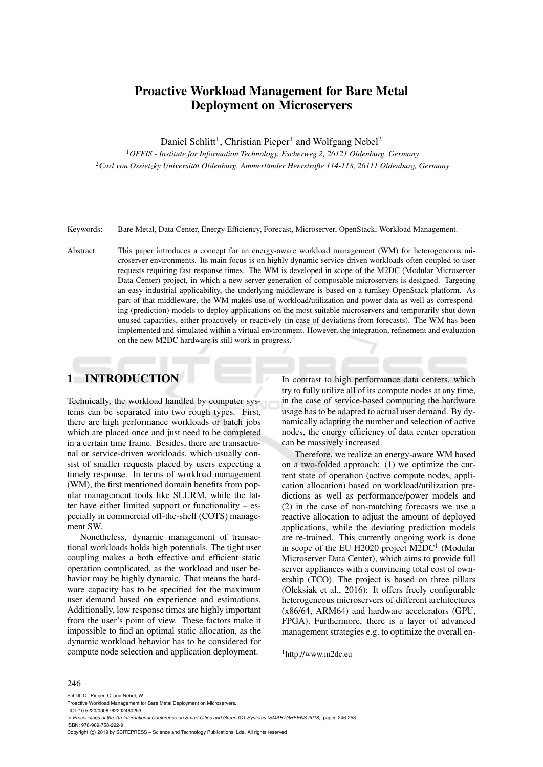## Proactive Workload Management for Bare Metal Deployment on Microservers

Daniel Schlitt<sup>1</sup>, Christian Pieper<sup>1</sup> and Wolfgang Nebel<sup>2</sup>

<sup>1</sup>*OFFIS - Institute for Information Technology, Escherweg 2, 26121 Oldenburg, Germany* <sup>2</sup>*Carl von Ossietzky Universitat Oldenburg, Ammerl ¨ ander Heerstraße 114-118, 26111 Oldenburg, Germany ¨*

Keywords: Bare Metal, Data Center, Energy Efficiency, Forecast, Microserver, OpenStack, Workload Management.

Abstract: This paper introduces a concept for an energy-aware workload management (WM) for heterogeneous microserver environments. Its main focus is on highly dynamic service-driven workloads often coupled to user requests requiring fast response times. The WM is developed in scope of the M2DC (Modular Microserver Data Center) project, in which a new server generation of composable microservers is designed. Targeting an easy industrial applicability, the underlying middleware is based on a turnkey OpenStack platform. As part of that middleware, the WM makes use of workload/utilization and power data as well as corresponding (prediction) models to deploy applications on the most suitable microservers and temporarily shut down unused capacities, either proactively or reactively (in case of deviations from forecasts). The WM has been implemented and simulated within a virtual environment. However, the integration, refinement and evaluation on the new M2DC hardware is still work in progress.

# 1 INTRODUCTION

Technically, the workload handled by computer systems can be separated into two rough types. First, there are high performance workloads or batch jobs which are placed once and just need to be completed in a certain time frame. Besides, there are transactional or service-driven workloads, which usually consist of smaller requests placed by users expecting a timely response. In terms of workload management (WM), the first mentioned domain benefits from popular management tools like SLURM, while the latter have either limited support or functionality – especially in commercial off-the-shelf (COTS) management SW.

Nonetheless, dynamic management of transactional workloads holds high potentials. The tight user coupling makes a both effective and efficient static operation complicated, as the workload and user behavior may be highly dynamic. That means the hardware capacity has to be specified for the maximum user demand based on experience and estimations. Additionally, low response times are highly important from the user's point of view. These factors make it impossible to find an optimal static allocation, as the dynamic workload behavior has to be considered for compute node selection and application deployment.

In contrast to high performance data centers, which try to fully utilize all of its compute nodes at any time, in the case of service-based computing the hardware usage has to be adapted to actual user demand. By dynamically adapting the number and selection of active nodes, the energy efficiency of data center operation can be massively increased.

Therefore, we realize an energy-aware WM based on a two-folded approach: (1) we optimize the current state of operation (active compute nodes, application allocation) based on workload/utilization predictions as well as performance/power models and (2) in the case of non-matching forecasts we use a reactive allocation to adjust the amount of deployed applications, while the deviating prediction models are re-trained. This currently ongoing work is done in scope of the EU H2020 project  $M2DC<sup>1</sup>$  (Modular Microserver Data Center), which aims to provide full server appliances with a convincing total cost of ownership (TCO). The project is based on three pillars (Oleksiak et al., 2016): It offers freely configurable heterogeneous microservers of different architectures (x86/64, ARM64) and hardware accelerators (GPU, FPGA). Furthermore, there is a layer of advanced management strategies e.g. to optimize the overall en-

#### 246

Schlitt, D., Pieper, C. and Nebel, W. Proactive Workload Management for Bare Metal Deployment on Microservers. DOI: 10.5220/0006762202460253 In *Proceedings of the 7th International Conference on Smart Cities and Green ICT Systems (SMARTGREENS 2018)*, pages 246-253 ISBN: 978-989-758-292-9 Copyright (C) 2019 by SCITEPRESS - Science and Technology Publications, Lda. All rights reserved

<sup>1</sup>http://www.m2dc.eu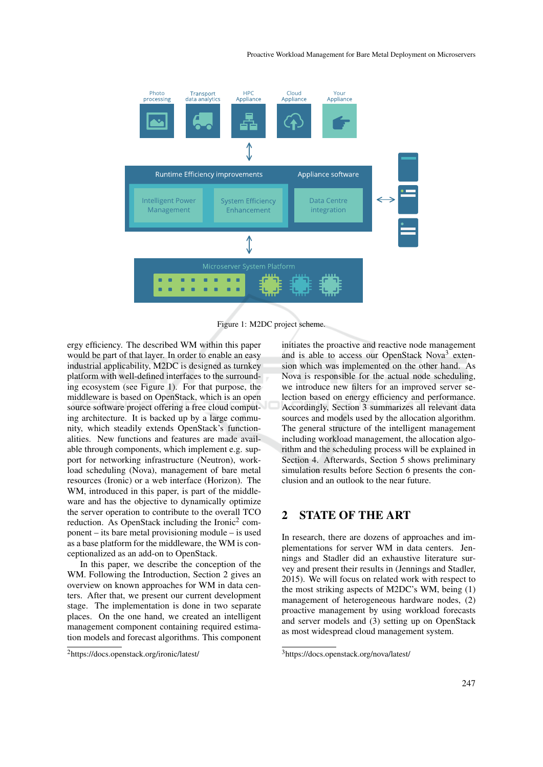

Figure 1: M2DC project scheme.

ergy efficiency. The described WM within this paper would be part of that layer. In order to enable an easy industrial applicability, M2DC is designed as turnkey platform with well-defined interfaces to the surrounding ecosystem (see Figure 1). For that purpose, the middleware is based on OpenStack, which is an open source software project offering a free cloud computing architecture. It is backed up by a large community, which steadily extends OpenStack's functionalities. New functions and features are made available through components, which implement e.g. support for networking infrastructure (Neutron), workload scheduling (Nova), management of bare metal resources (Ironic) or a web interface (Horizon). The WM, introduced in this paper, is part of the middleware and has the objective to dynamically optimize the server operation to contribute to the overall TCO reduction. As OpenStack including the Ironic<sup>2</sup> component – its bare metal provisioning module – is used as a base platform for the middleware, the WM is conceptionalized as an add-on to OpenStack.

In this paper, we describe the conception of the WM. Following the Introduction, Section 2 gives an overview on known approaches for WM in data centers. After that, we present our current development stage. The implementation is done in two separate places. On the one hand, we created an intelligent management component containing required estimation models and forecast algorithms. This component

initiates the proactive and reactive node management and is able to access our OpenStack Nova<sup>3</sup> extension which was implemented on the other hand. As Nova is responsible for the actual node scheduling, we introduce new filters for an improved server selection based on energy efficiency and performance. Accordingly, Section 3 summarizes all relevant data sources and models used by the allocation algorithm. The general structure of the intelligent management including workload management, the allocation algorithm and the scheduling process will be explained in Section 4. Afterwards, Section 5 shows preliminary simulation results before Section 6 presents the conclusion and an outlook to the near future.

## 2 STATE OF THE ART

In research, there are dozens of approaches and implementations for server WM in data centers. Jennings and Stadler did an exhaustive literature survey and present their results in (Jennings and Stadler, 2015). We will focus on related work with respect to the most striking aspects of M2DC's WM, being (1) management of heterogeneous hardware nodes, (2) proactive management by using workload forecasts and server models and (3) setting up on OpenStack as most widespread cloud management system.

<sup>2</sup>https://docs.openstack.org/ironic/latest/

<sup>3</sup>https://docs.openstack.org/nova/latest/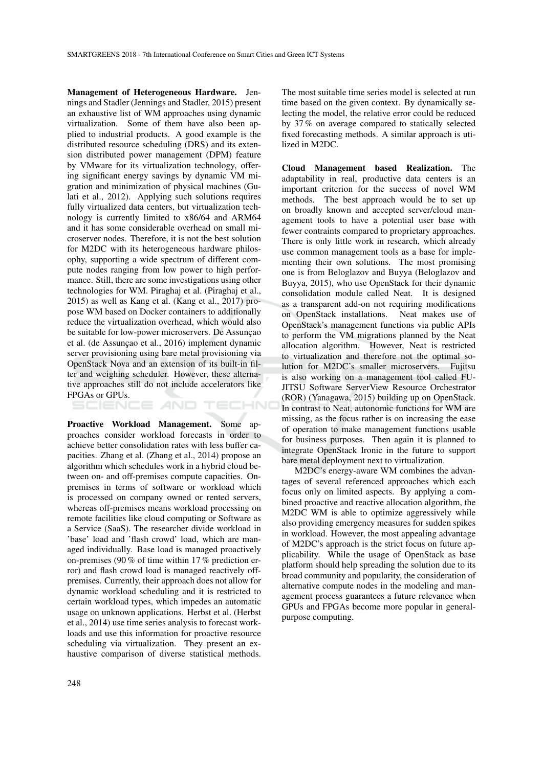Management of Heterogeneous Hardware. Jennings and Stadler (Jennings and Stadler, 2015) present an exhaustive list of WM approaches using dynamic virtualization. Some of them have also been applied to industrial products. A good example is the distributed resource scheduling (DRS) and its extension distributed power management (DPM) feature by VMware for its virtualization technology, offering significant energy savings by dynamic VM migration and minimization of physical machines (Gulati et al., 2012). Applying such solutions requires fully virtualized data centers, but virtualization technology is currently limited to x86/64 and ARM64 and it has some considerable overhead on small microserver nodes. Therefore, it is not the best solution for M2DC with its heterogeneous hardware philosophy, supporting a wide spectrum of different compute nodes ranging from low power to high performance. Still, there are some investigations using other technologies for WM. Piraghaj et al. (Piraghaj et al., 2015) as well as Kang et al. (Kang et al., 2017) propose WM based on Docker containers to additionally reduce the virtualization overhead, which would also be suitable for low-power microservers. De Assunçao et al. (de Assunção et al., 2016) implement dynamic server provisioning using bare metal provisioning via OpenStack Nova and an extension of its built-in filter and weighing scheduler. However, these alternative approaches still do not include accelerators like FPGAs or GPUs.

TECHNO

Proactive Workload Management. Some approaches consider workload forecasts in order to achieve better consolidation rates with less buffer capacities. Zhang et al. (Zhang et al., 2014) propose an algorithm which schedules work in a hybrid cloud between on- and off-premises compute capacities. Onpremises in terms of software or workload which is processed on company owned or rented servers, whereas off-premises means workload processing on remote facilities like cloud computing or Software as a Service (SaaS). The researcher divide workload in 'base' load and 'flash crowd' load, which are managed individually. Base load is managed proactively on-premises (90 % of time within 17 % prediction error) and flash crowd load is managed reactively offpremises. Currently, their approach does not allow for dynamic workload scheduling and it is restricted to certain workload types, which impedes an automatic usage on unknown applications. Herbst et al. (Herbst et al., 2014) use time series analysis to forecast workloads and use this information for proactive resource scheduling via virtualization. They present an exhaustive comparison of diverse statistical methods.

The most suitable time series model is selected at run time based on the given context. By dynamically selecting the model, the relative error could be reduced by 37 % on average compared to statically selected fixed forecasting methods. A similar approach is utilized in M2DC.

Cloud Management based Realization. The adaptability in real, productive data centers is an important criterion for the success of novel WM methods. The best approach would be to set up on broadly known and accepted server/cloud management tools to have a potential user base with fewer contraints compared to proprietary approaches. There is only little work in research, which already use common management tools as a base for implementing their own solutions. The most promising one is from Beloglazov and Buyya (Beloglazov and Buyya, 2015), who use OpenStack for their dynamic consolidation module called Neat. It is designed as a transparent add-on not requiring modifications on OpenStack installations. Neat makes use of OpenStack's management functions via public APIs to perform the VM migrations planned by the Neat allocation algorithm. However, Neat is restricted to virtualization and therefore not the optimal solution for M2DC's smaller microservers. Fujitsu is also working on a management tool called FU-JITSU Software ServerView Resource Orchestrator (ROR) (Yanagawa, 2015) building up on OpenStack. In contrast to Neat, autonomic functions for WM are missing, as the focus rather is on increasing the ease of operation to make management functions usable for business purposes. Then again it is planned to integrate OpenStack Ironic in the future to support bare metal deployment next to virtualization.

M2DC's energy-aware WM combines the advantages of several referenced approaches which each focus only on limited aspects. By applying a combined proactive and reactive allocation algorithm, the M2DC WM is able to optimize aggressively while also providing emergency measures for sudden spikes in workload. However, the most appealing advantage of M2DC's approach is the strict focus on future applicability. While the usage of OpenStack as base platform should help spreading the solution due to its broad community and popularity, the consideration of alternative compute nodes in the modeling and management process guarantees a future relevance when GPUs and FPGAs become more popular in generalpurpose computing.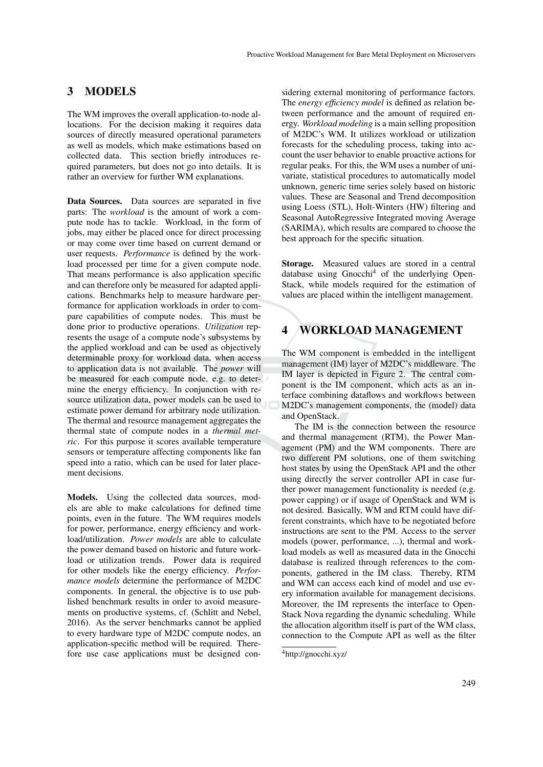### 3 MODELS

The WM improves the overall application-to-node allocations. For the decision making it requires data sources of directly measured operational parameters as well as models, which make estimations based on collected data. This section briefly introduces required parameters, but does not go into details. It is rather an overview for further WM explanations.

Data Sources. Data sources are separated in five parts: The *workload* is the amount of work a compute node has to tackle. Workload, in the form of jobs, may either be placed once for direct processing or may come over time based on current demand or user requests. *Performance* is defined by the workload processed per time for a given compute node. That means performance is also application specific and can therefore only be measured for adapted applications. Benchmarks help to measure hardware performance for application workloads in order to compare capabilities of compute nodes. This must be done prior to productive operations. *Utilization* represents the usage of a compute node's subsystems by the applied workload and can be used as objectively determinable proxy for workload data, when access to application data is not available. The *power* will be measured for each compute node, e.g. to determine the energy efficiency. In conjunction with resource utilization data, power models can be used to estimate power demand for arbitrary node utilization. The thermal and resource management aggregates the thermal state of compute nodes in a *thermal metric*. For this purpose it scores available temperature sensors or temperature affecting components like fan speed into a ratio, which can be used for later placement decisions.

Models. Using the collected data sources, models are able to make calculations for defined time points, even in the future. The WM requires models for power, performance, energy efficiency and workload/utilization. *Power models* are able to calculate the power demand based on historic and future workload or utilization trends. Power data is required for other models like the energy efficiency. *Performance models* determine the performance of M2DC components. In general, the objective is to use published benchmark results in order to avoid measurements on productive systems, cf. (Schlitt and Nebel, 2016). As the server benchmarks cannot be applied to every hardware type of M2DC compute nodes, an application-specific method will be required. Therefore use case applications must be designed con-

sidering external monitoring of performance factors. The *energy efficiency model* is defined as relation between performance and the amount of required energy. *Workload modeling* is a main selling proposition of M2DC's WM. It utilizes workload or utilization forecasts for the scheduling process, taking into account the user behavior to enable proactive actions for regular peaks. For this, the WM uses a number of univariate, statistical procedures to automatically model unknown, generic time series solely based on historic values. These are Seasonal and Trend decomposition using Loess (STL), Holt-Winters (HW) filtering and Seasonal AutoRegressive Integrated moving Average (SARIMA), which results are compared to choose the best approach for the specific situation.

Storage. Measured values are stored in a central database using Gnocchi<sup>4</sup> of the underlying Open-Stack, while models required for the estimation of values are placed within the intelligent management.

### 4 WORKLOAD MANAGEMENT

The WM component is embedded in the intelligent management (IM) layer of M2DC's middleware. The IM layer is depicted in Figure 2. The central component is the IM component, which acts as an interface combining dataflows and workflows between M2DC's management components, the (model) data and OpenStack.

The IM is the connection between the resource and thermal management (RTM), the Power Management (PM) and the WM components. There are two different PM solutions, one of them switching host states by using the OpenStack API and the other using directly the server controller API in case further power management functionality is needed (e.g. power capping) or if usage of OpenStack and WM is not desired. Basically, WM and RTM could have different constraints, which have to be negotiated before instructions are sent to the PM. Access to the server models (power, performance, ...), thermal and workload models as well as measured data in the Gnocchi database is realized through references to the components, gathered in the IM class. Thereby, RTM and WM can access each kind of model and use every information available for management decisions. Moreover, the IM represents the interface to Open-Stack Nova regarding the dynamic scheduling. While the allocation algorithm itself is part of the WM class, connection to the Compute API as well as the filter

<sup>4</sup>http://gnocchi.xyz/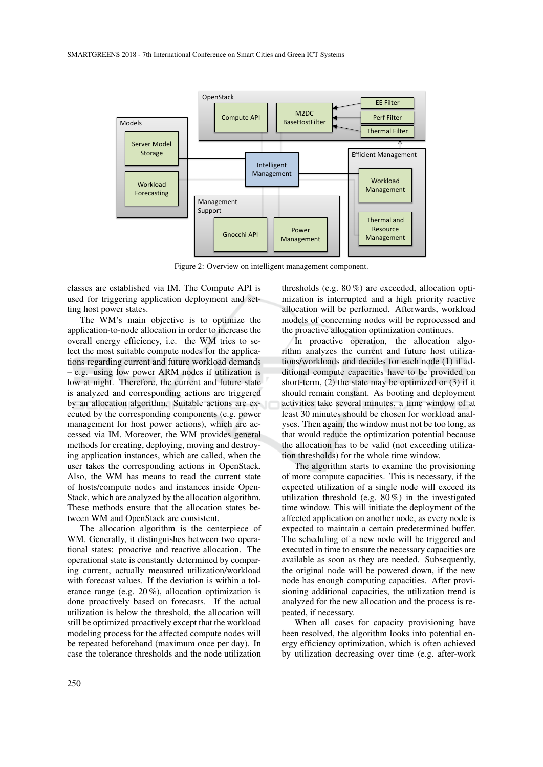

Figure 2: Overview on intelligent management component.

classes are established via IM. The Compute API is used for triggering application deployment and setting host power states.

The WM's main objective is to optimize the application-to-node allocation in order to increase the overall energy efficiency, i.e. the WM tries to select the most suitable compute nodes for the applications regarding current and future workload demands – e.g. using low power ARM nodes if utilization is low at night. Therefore, the current and future state is analyzed and corresponding actions are triggered by an allocation algorithm. Suitable actions are executed by the corresponding components (e.g. power management for host power actions), which are accessed via IM. Moreover, the WM provides general methods for creating, deploying, moving and destroying application instances, which are called, when the user takes the corresponding actions in OpenStack. Also, the WM has means to read the current state of hosts/compute nodes and instances inside Open-Stack, which are analyzed by the allocation algorithm. These methods ensure that the allocation states between WM and OpenStack are consistent.

The allocation algorithm is the centerpiece of WM. Generally, it distinguishes between two operational states: proactive and reactive allocation. The operational state is constantly determined by comparing current, actually measured utilization/workload with forecast values. If the deviation is within a tolerance range (e.g. 20 %), allocation optimization is done proactively based on forecasts. If the actual utilization is below the threshold, the allocation will still be optimized proactively except that the workload modeling process for the affected compute nodes will be repeated beforehand (maximum once per day). In case the tolerance thresholds and the node utilization

thresholds (e.g. 80 %) are exceeded, allocation optimization is interrupted and a high priority reactive allocation will be performed. Afterwards, workload models of concerning nodes will be reprocessed and the proactive allocation optimization continues.

In proactive operation, the allocation algorithm analyzes the current and future host utilizations/workloads and decides for each node (1) if additional compute capacities have to be provided on short-term, (2) the state may be optimized or (3) if it should remain constant. As booting and deployment activities take several minutes, a time window of at least 30 minutes should be chosen for workload analyses. Then again, the window must not be too long, as that would reduce the optimization potential because the allocation has to be valid (not exceeding utilization thresholds) for the whole time window.

The algorithm starts to examine the provisioning of more compute capacities. This is necessary, if the expected utilization of a single node will exceed its utilization threshold (e.g. 80 %) in the investigated time window. This will initiate the deployment of the affected application on another node, as every node is expected to maintain a certain predetermined buffer. The scheduling of a new node will be triggered and executed in time to ensure the necessary capacities are available as soon as they are needed. Subsequently, the original node will be powered down, if the new node has enough computing capacities. After provisioning additional capacities, the utilization trend is analyzed for the new allocation and the process is repeated, if necessary.

When all cases for capacity provisioning have been resolved, the algorithm looks into potential energy efficiency optimization, which is often achieved by utilization decreasing over time (e.g. after-work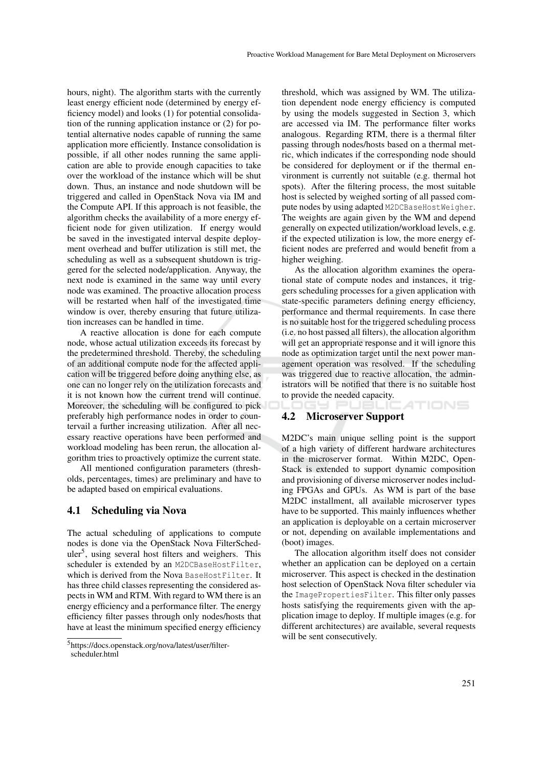hours, night). The algorithm starts with the currently least energy efficient node (determined by energy efficiency model) and looks (1) for potential consolidation of the running application instance or (2) for potential alternative nodes capable of running the same application more efficiently. Instance consolidation is possible, if all other nodes running the same application are able to provide enough capacities to take over the workload of the instance which will be shut down. Thus, an instance and node shutdown will be triggered and called in OpenStack Nova via IM and the Compute API. If this approach is not feasible, the algorithm checks the availability of a more energy efficient node for given utilization. If energy would be saved in the investigated interval despite deployment overhead and buffer utilization is still met, the scheduling as well as a subsequent shutdown is triggered for the selected node/application. Anyway, the next node is examined in the same way until every node was examined. The proactive allocation process will be restarted when half of the investigated time window is over, thereby ensuring that future utilization increases can be handled in time.

A reactive allocation is done for each compute node, whose actual utilization exceeds its forecast by the predetermined threshold. Thereby, the scheduling of an additional compute node for the affected application will be triggered before doing anything else, as one can no longer rely on the utilization forecasts and it is not known how the current trend will continue. Moreover, the scheduling will be configured to pick preferably high performance nodes in order to countervail a further increasing utilization. After all necessary reactive operations have been performed and workload modeling has been rerun, the allocation algorithm tries to proactively optimize the current state.

All mentioned configuration parameters (thresholds, percentages, times) are preliminary and have to be adapted based on empirical evaluations.

### 4.1 Scheduling via Nova

The actual scheduling of applications to compute nodes is done via the OpenStack Nova FilterScheduler<sup>5</sup>, using several host filters and weighers. This scheduler is extended by an M2DCBaseHostFilter, which is derived from the Nova BaseHostFilter. It has three child classes representing the considered aspects in WM and RTM. With regard to WM there is an energy efficiency and a performance filter. The energy efficiency filter passes through only nodes/hosts that have at least the minimum specified energy efficiency

threshold, which was assigned by WM. The utilization dependent node energy efficiency is computed by using the models suggested in Section 3, which are accessed via IM. The performance filter works analogous. Regarding RTM, there is a thermal filter passing through nodes/hosts based on a thermal metric, which indicates if the corresponding node should be considered for deployment or if the thermal environment is currently not suitable (e.g. thermal hot spots). After the filtering process, the most suitable host is selected by weighed sorting of all passed compute nodes by using adapted M2DCBaseHostWeigher. The weights are again given by the WM and depend generally on expected utilization/workload levels, e.g. if the expected utilization is low, the more energy efficient nodes are preferred and would benefit from a higher weighing.

As the allocation algorithm examines the operational state of compute nodes and instances, it triggers scheduling processes for a given application with state-specific parameters defining energy efficiency, performance and thermal requirements. In case there is no suitable host for the triggered scheduling process (i.e. no host passed all filters), the allocation algorithm will get an appropriate response and it will ignore this node as optimization target until the next power management operation was resolved. If the scheduling was triggered due to reactive allocation, the administrators will be notified that there is no suitable host to provide the needed capacity. ATIONS GY PUBLI

#### 4.2 Microserver Support

M2DC's main unique selling point is the support of a high variety of different hardware architectures in the microserver format. Within M2DC, Open-Stack is extended to support dynamic composition and provisioning of diverse microserver nodes including FPGAs and GPUs. As WM is part of the base M2DC installment, all available microserver types have to be supported. This mainly influences whether an application is deployable on a certain microserver or not, depending on available implementations and (boot) images.

The allocation algorithm itself does not consider whether an application can be deployed on a certain microserver. This aspect is checked in the destination host selection of OpenStack Nova filter scheduler via the ImagePropertiesFilter. This filter only passes hosts satisfying the requirements given with the application image to deploy. If multiple images (e.g. for different architectures) are available, several requests will be sent consecutively.

<sup>5</sup>https://docs.openstack.org/nova/latest/user/filterscheduler.html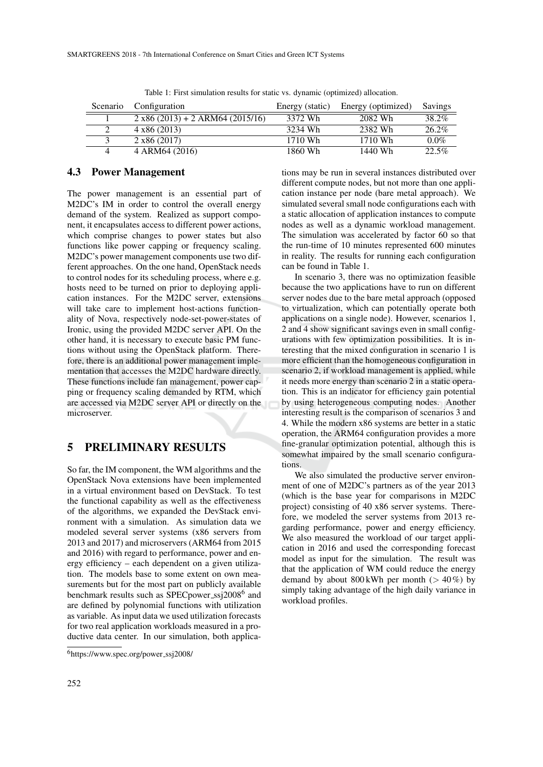|          | Scenario Configuration             | Energy (static) | Energy (optimized) | Savings  |
|----------|------------------------------------|-----------------|--------------------|----------|
|          | $2 x86 (2013) + 2 ARM64 (2015/16)$ | 3372 Wh         | 2082. Wh           | 38.2%    |
| $\gamma$ | $4 \times 86$ (2013)               | 3234 Wh         | 2382 Wh            | $26.2\%$ |
|          | $2 \times 86$ (2017)               | 1710 Wh         | 1710 Wh            | $0.0\%$  |
| 4        | 4 ARM64 (2016)                     | 1860 Wh         | 1440 Wh            | 22.5%    |

Table 1: First simulation results for static vs. dynamic (optimized) allocation.

#### 4.3 Power Management

The power management is an essential part of M2DC's IM in order to control the overall energy demand of the system. Realized as support component, it encapsulates access to different power actions, which comprise changes to power states but also functions like power capping or frequency scaling. M2DC's power management components use two different approaches. On the one hand, OpenStack needs to control nodes for its scheduling process, where e.g. hosts need to be turned on prior to deploying application instances. For the M2DC server, extensions will take care to implement host-actions functionality of Nova, respectively node-set-power-states of Ironic, using the provided M2DC server API. On the other hand, it is necessary to execute basic PM functions without using the OpenStack platform. Therefore, there is an additional power management implementation that accesses the M2DC hardware directly. These functions include fan management, power capping or frequency scaling demanded by RTM, which are accessed via M2DC server API or directly on the microserver.

### 5 PRELIMINARY RESULTS

So far, the IM component, the WM algorithms and the OpenStack Nova extensions have been implemented in a virtual environment based on DevStack. To test the functional capability as well as the effectiveness of the algorithms, we expanded the DevStack environment with a simulation. As simulation data we modeled several server systems (x86 servers from 2013 and 2017) and microservers (ARM64 from 2015 and 2016) with regard to performance, power and energy efficiency – each dependent on a given utilization. The models base to some extent on own measurements but for the most part on publicly available benchmark results such as SPECpower\_ssj2008<sup>6</sup> and are defined by polynomial functions with utilization as variable. As input data we used utilization forecasts for two real application workloads measured in a productive data center. In our simulation, both applica-

tions may be run in several instances distributed over different compute nodes, but not more than one application instance per node (bare metal approach). We simulated several small node configurations each with a static allocation of application instances to compute nodes as well as a dynamic workload management. The simulation was accelerated by factor 60 so that the run-time of 10 minutes represented 600 minutes in reality. The results for running each configuration can be found in Table 1.

In scenario 3, there was no optimization feasible because the two applications have to run on different server nodes due to the bare metal approach (opposed to virtualization, which can potentially operate both applications on a single node). However, scenarios 1, 2 and 4 show significant savings even in small configurations with few optimization possibilities. It is interesting that the mixed configuration in scenario 1 is more efficient than the homogeneous configuration in scenario 2, if workload management is applied, while it needs more energy than scenario 2 in a static operation. This is an indicator for efficiency gain potential by using heterogeneous computing nodes. Another interesting result is the comparison of scenarios 3 and 4. While the modern x86 systems are better in a static operation, the ARM64 configuration provides a more fine-granular optimization potential, although this is somewhat impaired by the small scenario configurations.

We also simulated the productive server environment of one of M2DC's partners as of the year 2013 (which is the base year for comparisons in M2DC project) consisting of 40 x86 server systems. Therefore, we modeled the server systems from 2013 regarding performance, power and energy efficiency. We also measured the workload of our target application in 2016 and used the corresponding forecast model as input for the simulation. The result was that the application of WM could reduce the energy demand by about  $800 \text{ kWh}$  per month ( $> 40\%$ ) by simply taking advantage of the high daily variance in workload profiles.

 $6$ https://www.spec.org/power\_ssj2008/